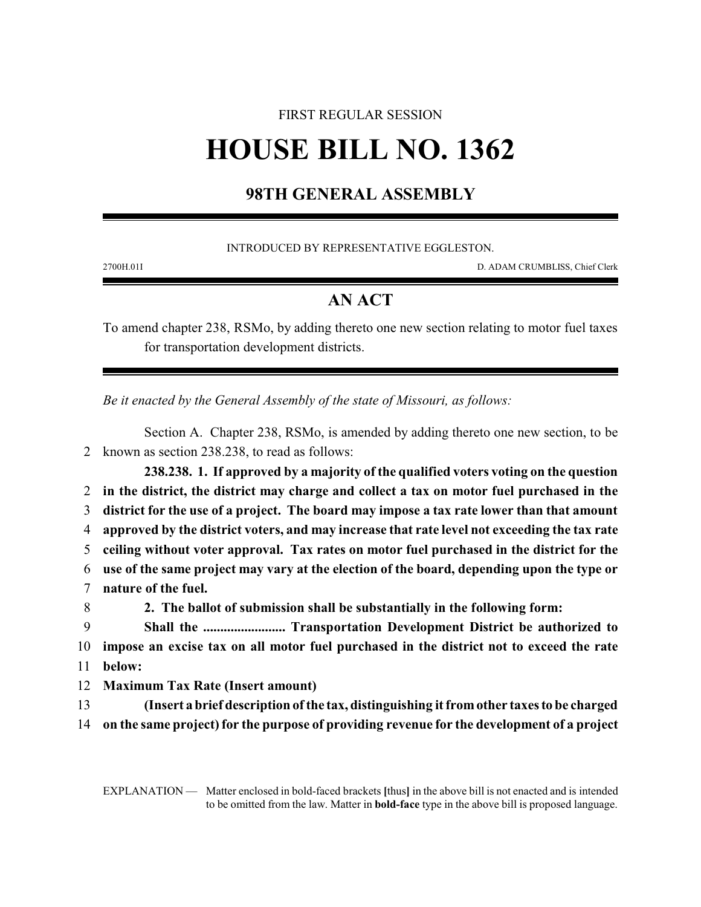## FIRST REGULAR SESSION

## **HOUSE BILL NO. 1362**

## **98TH GENERAL ASSEMBLY**

INTRODUCED BY REPRESENTATIVE EGGLESTON.

2700H.01I D. ADAM CRUMBLISS, Chief Clerk

## **AN ACT**

To amend chapter 238, RSMo, by adding thereto one new section relating to motor fuel taxes for transportation development districts.

*Be it enacted by the General Assembly of the state of Missouri, as follows:*

Section A. Chapter 238, RSMo, is amended by adding thereto one new section, to be 2 known as section 238.238, to read as follows:

**238.238. 1. If approved by a majority of the qualified voters voting on the question in the district, the district may charge and collect a tax on motor fuel purchased in the district for the use of a project. The board may impose a tax rate lower than that amount approved by the district voters, and may increase that rate level not exceeding the tax rate ceiling without voter approval. Tax rates on motor fuel purchased in the district for the use of the same project may vary at the election of the board, depending upon the type or nature of the fuel. 2. The ballot of submission shall be substantially in the following form: Shall the ........................ Transportation Development District be authorized to impose an excise tax on all motor fuel purchased in the district not to exceed the rate** 11 **below:**

12 **Maximum Tax Rate (Insert amount)**

13 **(Insert a brief description ofthe tax, distinguishing it fromother taxes to be charged** 14 **on the same project) for the purpose of providing revenue for the development of a project**

EXPLANATION — Matter enclosed in bold-faced brackets **[**thus**]** in the above bill is not enacted and is intended to be omitted from the law. Matter in **bold-face** type in the above bill is proposed language.